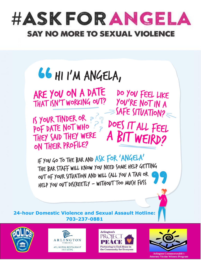



ARE YOU ON A DATE THAT ISN'T WORKING OUT?

IS YOUR TINDER OR PRINCE SHIDNING THEY SAID THEY WERE A BIT WEIRD? ON THEIR PROFILE?

DO YOU FEEL LIKE YOU'RE NOT IN A  $\equiv$ SAFE SITUATION?

IF YOU GO TO THE BAR AND ASK FOR 'ANGELA' THE BAR STAFF WILL KNOW YOU NEED SOME HELP GETTING OUT OF YOUR SITUATION AND WILL (ALL YOU A TAXI OR HELP YOU OUT DIS(REETLY - WITHOUT TOO MU(H FUSS

**24-hour Domestic Violence and Sexual Assault Hotline: 703-237-0881**









**Arlington Commonwealth's Attorney Victim-Witness Program**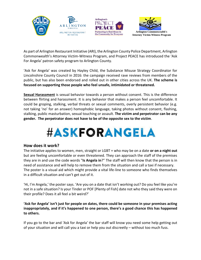





As part of Arlington Restaurant Initiative (ARI), the Arlington County Police Department, Arlington Commonwealth's Attorney Victim-Witness Program, and Project PEACE has introduced the 'Ask For Angela' patron safety program to Arlington County.

'Ask for Angela' was created by Hayley Child, the Substance Misuse Strategy Coordinator for Lincolnshire County Council in 2016: the campaign received rave reviews from members of the public, but has also been endorsed and rolled out in other cities across the UK. **The scheme is focused on supporting those people who feel unsafe, intimidated or threatened.**

**Sexual Harassment** is sexual behavior towards a person without consent. This is the difference between flirting and harassment. It is any behavior that makes a person feel uncomfortable. It could be groping, stalking, verbal threats or sexual comments, overly persistent behavior (e.g. not taking 'no' for an answer) homophobic language, taking photos without consent, flashing, stalking, public masturbation, sexual touching or assault. **The victim and perpetrator can be any gender. The perpetrator does not have to be of the opposite sex to the victim**.



### **How does it work?**

The initiative applies to women, men, straight or LGBT + who may be on a date **or on a night out** but are feeling uncomfortable or even threatened. They can approach the staff of the premises they are in and use the code words "**Is Angela in**?" The staff will then know that the person is in need of assistance and will help to remove them from the situation and call a taxi if necessary. The poster is a visual aid which might provide a vital life-line to someone who finds themselves in a difficult situation and can't get out of it.

'Hi, I'm Angela,' the poster says. 'Are you on a date that isn't working out? Do you feel like you're not in a safe situation? Is your Tinder or POF [Plenty of Fish] date not who they said they were on their profile? Does it all feel a bit weird?'

#### **'Ask for Angela' isn't just for people on dates, there could be someone in your premises acting inappropriately, and if it's happened to one person, there's a good chance this has happened to others.**

If you go to the bar and 'Ask for Angela' the bar staff will know you need some help getting out of your situation and will call you a taxi or help you out discreetly – without too much fuss.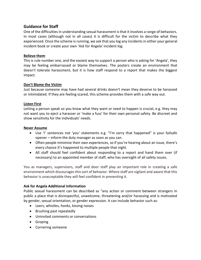## **Guidance for Staff**

One of the difficulties in understanding sexual harassment is that it involves a range o[f behaviors.](https://en.wikipedia.org/wiki/Behavior) In most cases (although not in all cases) it is difficult for the victim to describe what they experienced. Once the scheme is running, we ask that you log any incidents in either your general incident book or create your own 'Ask for Angela' incident log.

#### **Believe them**

This is rule number one, and the easiest way to support a person who is asking for 'Angela', they may be feeling embarrassed or blame themselves. The posters create an environment that doesn't tolerate harassment, but it is how staff respond to a report that makes the biggest impact.

#### **Don't Blame the Victim**

Just because someone may have had several drinks doesn't mean they deserve to be harassed or intimidated. If they are feeling scared, this scheme provides them with a safe way out.

#### **Listen First**

Letting a person speak so you know what they want or need to happen is crucial, e.g. they may not want you to eject a harasser or 'make a fuss' for their own personal safety. Be discreet and show sensitivity for the individuals' needs.

#### **Never Assume**

- Use 'I' sentences not 'you' statements e.g. "I'm sorry that happened" is your failsafe opener – inform the duty manager as soon as you can.
- Often people minimize their own experiences, so if you're hearing about an issue, there's every chance it's happened to multiple people that night.
- All staff should feel confident about responding to a report and hand them over (if necessary) to an appointed member of staff, who has oversight of all safety issues.

You as managers, supervisors, staff and door staff play an important role in creating a safe environment which discourages this sort of behavior. Where staff are vigilant and aware that this behavior is unacceptable they will feel confident in preventing it.

#### **Ask for Angela Additional Information**

Public sexual harassment can be described as "any action or comment between strangers in public a place that is disrespectful, unwelcome, threatening and/or harassing and is motivated by gender, sexual orientation, or gender expression. It can include behavior such as:

- Leers, whistles, honks, kissing noises
- Brushing past repeatedly
- Uninvited comments or conversations
- Groping
- Cornering someone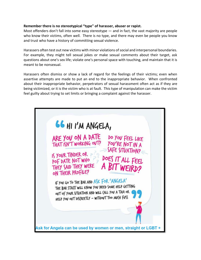#### **Remember there is no stereotypical "type" of harasser, abuser or rapist.**

Most offenders don't fall into some easy stereotype — and in fact, the vast majority are people who know their victims, often well. There is no type, and there may even be people you know and trust who have a history of committing sexual violence.

Harassers often test out new victims with minor violations of social and interpersonal boundaries. For example, they might tell sexual jokes or make sexual comments about their target, ask questions about one's sex life; violate one's personal space with touching, and maintain that it is meant to be nonsexual.

Harassers often dismiss or show a lack of regard for the feelings of their victims; even when assertive attempts are made to put an end to the inappropriate behavior. When confronted about their inappropriate behavior, perpetrators of sexual harassment often act as if they are being victimized, or it is the victim who is at fault. This type of manipulation can make the victim feel guilty about trying to set limits or bringing a complaint against the harasser.